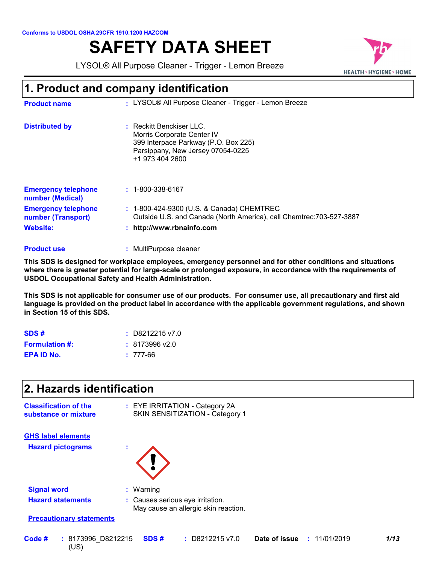# **SAFETY DATA SHEET**

LYSOL® All Purpose Cleaner - Trigger - Lemon Breeze



### **1. Product and company identification**

| <b>Product name</b>                              | : LYSOL® All Purpose Cleaner - Trigger - Lemon Breeze                                                                                                    |
|--------------------------------------------------|----------------------------------------------------------------------------------------------------------------------------------------------------------|
| <b>Distributed by</b>                            | $:$ Reckitt Benckiser LLC.<br>Morris Corporate Center IV<br>399 Interpace Parkway (P.O. Box 225)<br>Parsippany, New Jersey 07054-0225<br>+1 973 404 2600 |
| <b>Emergency telephone</b><br>number (Medical)   | $: 1 - 800 - 338 - 6167$                                                                                                                                 |
| <b>Emergency telephone</b><br>number (Transport) | : 1-800-424-9300 (U.S. & Canada) CHEMTREC<br>Outside U.S. and Canada (North America), call Chemtrec: 703-527-3887                                        |
| <b>Website:</b>                                  | : http://www.rbnainfo.com                                                                                                                                |
|                                                  |                                                                                                                                                          |

#### **:** MultiPurpose cleaner **Product use**

**This SDS is designed for workplace employees, emergency personnel and for other conditions and situations where there is greater potential for large-scale or prolonged exposure, in accordance with the requirements of USDOL Occupational Safety and Health Administration.**

**This SDS is not applicable for consumer use of our products. For consumer use, all precautionary and first aid language is provided on the product label in accordance with the applicable government regulations, and shown in Section 15 of this SDS.**

| SDS#                  | $\pm $ D8212215 v7.0 |
|-----------------------|----------------------|
| <b>Formulation #:</b> | $: 8173996$ v2.0     |
| EPA ID No.            | $: 777-66$           |

(US)

| SDS#                                                 | D8212215 v7.0<br>÷.                                                      |  |
|------------------------------------------------------|--------------------------------------------------------------------------|--|
| <b>Formulation #:</b>                                | : 8173996 v2.0                                                           |  |
| <b>EPA ID No.</b>                                    | $: 777-66$                                                               |  |
| 2. Hazards identification                            |                                                                          |  |
| <b>Classification of the</b><br>substance or mixture | : EYE IRRITATION - Category 2A<br>SKIN SENSITIZATION - Category 1        |  |
| <b>GHS label elements</b>                            |                                                                          |  |
| <b>Hazard pictograms</b>                             | t                                                                        |  |
| <b>Signal word</b>                                   | : Warning                                                                |  |
| <b>Hazard statements</b>                             | : Causes serious eye irritation.<br>May cause an allergic skin reaction. |  |
| <b>Precautionary statements</b>                      |                                                                          |  |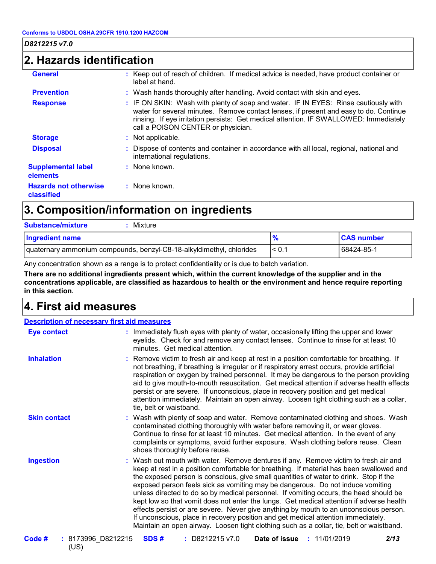### **2. Hazards identification**

| <b>General</b>                             | : Keep out of reach of children. If medical advice is needed, have product container or<br>label at hand.                                                                                                                                                                                                   |
|--------------------------------------------|-------------------------------------------------------------------------------------------------------------------------------------------------------------------------------------------------------------------------------------------------------------------------------------------------------------|
| <b>Prevention</b>                          | : Wash hands thoroughly after handling. Avoid contact with skin and eyes.                                                                                                                                                                                                                                   |
| <b>Response</b>                            | : IF ON SKIN: Wash with plenty of soap and water. IF IN EYES: Rinse cautiously with<br>water for several minutes. Remove contact lenses, if present and easy to do. Continue<br>rinsing. If eye irritation persists: Get medical attention. IF SWALLOWED: Immediately<br>call a POISON CENTER or physician. |
| <b>Storage</b>                             | : Not applicable.                                                                                                                                                                                                                                                                                           |
| <b>Disposal</b>                            | : Dispose of contents and container in accordance with all local, regional, national and<br>international regulations.                                                                                                                                                                                      |
| <b>Supplemental label</b><br>elements      | : None known.                                                                                                                                                                                                                                                                                               |
| <b>Hazards not otherwise</b><br>classified | : None known.                                                                                                                                                                                                                                                                                               |

## **3. Composition/information on ingredients**

| <b>Substance/mixture</b><br>Mixture                                  |            |                   |
|----------------------------------------------------------------------|------------|-------------------|
| <b>Ingredient name</b>                                               |            | <b>CAS number</b> |
| quaternary ammonium compounds, benzyl-C8-18-alkyldimethyl, chlorides | $\leq 0.1$ | 68424-85-1        |

Any concentration shown as a range is to protect confidentiality or is due to batch variation.

**There are no additional ingredients present which, within the current knowledge of the supplier and in the concentrations applicable, are classified as hazardous to health or the environment and hence require reporting in this section.**

### **4. First aid measures**

| <b>Description of necessary first aid measures</b> |                                                                                                                                                                                                                                                                                                                                                                                                                                                                                                                                                                                                                                                                                                                                                                                                                           |
|----------------------------------------------------|---------------------------------------------------------------------------------------------------------------------------------------------------------------------------------------------------------------------------------------------------------------------------------------------------------------------------------------------------------------------------------------------------------------------------------------------------------------------------------------------------------------------------------------------------------------------------------------------------------------------------------------------------------------------------------------------------------------------------------------------------------------------------------------------------------------------------|
| <b>Eye contact</b>                                 | : Immediately flush eyes with plenty of water, occasionally lifting the upper and lower<br>eyelids. Check for and remove any contact lenses. Continue to rinse for at least 10<br>minutes. Get medical attention.                                                                                                                                                                                                                                                                                                                                                                                                                                                                                                                                                                                                         |
| <b>Inhalation</b>                                  | : Remove victim to fresh air and keep at rest in a position comfortable for breathing. If<br>not breathing, if breathing is irregular or if respiratory arrest occurs, provide artificial<br>respiration or oxygen by trained personnel. It may be dangerous to the person providing<br>aid to give mouth-to-mouth resuscitation. Get medical attention if adverse health effects<br>persist or are severe. If unconscious, place in recovery position and get medical<br>attention immediately. Maintain an open airway. Loosen tight clothing such as a collar,<br>tie, belt or waistband.                                                                                                                                                                                                                              |
| <b>Skin contact</b>                                | : Wash with plenty of soap and water. Remove contaminated clothing and shoes. Wash<br>contaminated clothing thoroughly with water before removing it, or wear gloves.<br>Continue to rinse for at least 10 minutes. Get medical attention. In the event of any<br>complaints or symptoms, avoid further exposure. Wash clothing before reuse. Clean<br>shoes thoroughly before reuse.                                                                                                                                                                                                                                                                                                                                                                                                                                     |
| <b>Ingestion</b>                                   | : Wash out mouth with water. Remove dentures if any. Remove victim to fresh air and<br>keep at rest in a position comfortable for breathing. If material has been swallowed and<br>the exposed person is conscious, give small quantities of water to drink. Stop if the<br>exposed person feels sick as vomiting may be dangerous. Do not induce vomiting<br>unless directed to do so by medical personnel. If vomiting occurs, the head should be<br>kept low so that vomit does not enter the lungs. Get medical attention if adverse health<br>effects persist or are severe. Never give anything by mouth to an unconscious person.<br>If unconscious, place in recovery position and get medical attention immediately.<br>Maintain an open airway. Loosen tight clothing such as a collar, tie, belt or waistband. |
| Code #<br>: 8173996 D8212215                       | SDS#<br>$:$ D8212215 v7.0<br><b>Date of issue : 11/01/2019</b><br>2/13                                                                                                                                                                                                                                                                                                                                                                                                                                                                                                                                                                                                                                                                                                                                                    |

(US)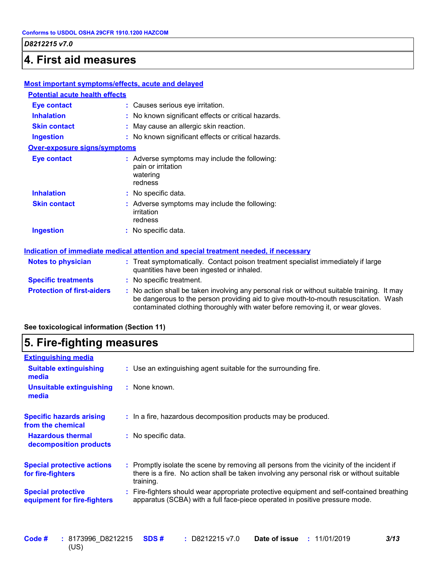### **4. First aid measures**

#### **Most important symptoms/effects, acute and delayed**

| <b>Potential acute health effects</b> |                                                                                                                               |
|---------------------------------------|-------------------------------------------------------------------------------------------------------------------------------|
| <b>Eye contact</b>                    | : Causes serious eye irritation.                                                                                              |
| <b>Inhalation</b>                     | : No known significant effects or critical hazards.                                                                           |
| <b>Skin contact</b>                   | : May cause an allergic skin reaction.                                                                                        |
| <b>Ingestion</b>                      | : No known significant effects or critical hazards.                                                                           |
| <b>Over-exposure signs/symptoms</b>   |                                                                                                                               |
| Eye contact                           | : Adverse symptoms may include the following:<br>pain or irritation<br>watering<br>redness                                    |
| <b>Inhalation</b>                     | : No specific data.                                                                                                           |
| <b>Skin contact</b>                   | : Adverse symptoms may include the following:<br>irritation<br>redness                                                        |
| <b>Ingestion</b>                      | : No specific data.                                                                                                           |
|                                       | <u>Indication of immediate medical attention and special treatment needed, if necessary</u>                                   |
| Notes to physician                    | : Treat symptomatically. Contact poison treatment specialist immediately if large<br>quantities have been ingested or inhaled |

|                                   | guarmnos navo boon ingestoa or innaica.                                                                                                                                                                                                                               |
|-----------------------------------|-----------------------------------------------------------------------------------------------------------------------------------------------------------------------------------------------------------------------------------------------------------------------|
| <b>Specific treatments</b>        | : No specific treatment.                                                                                                                                                                                                                                              |
| <b>Protection of first-aiders</b> | : No action shall be taken involving any personal risk or without suitable training. It may<br>be dangerous to the person providing aid to give mouth-to-mouth resuscitation. Wash<br>contaminated clothing thoroughly with water before removing it, or wear gloves. |

#### **See toxicological information (Section 11)**

h

| 5. Fire-fighting measures                                                                                                                                                                           |  |  |
|-----------------------------------------------------------------------------------------------------------------------------------------------------------------------------------------------------|--|--|
|                                                                                                                                                                                                     |  |  |
| : Use an extinguishing agent suitable for the surrounding fire.                                                                                                                                     |  |  |
| : None known.                                                                                                                                                                                       |  |  |
| : In a fire, hazardous decomposition products may be produced.                                                                                                                                      |  |  |
| : No specific data.                                                                                                                                                                                 |  |  |
| : Promptly isolate the scene by removing all persons from the vicinity of the incident if<br>there is a fire. No action shall be taken involving any personal risk or without suitable<br>training. |  |  |
| Fire-fighters should wear appropriate protective equipment and self-contained breathing<br>apparatus (SCBA) with a full face-piece operated in positive pressure mode.                              |  |  |
|                                                                                                                                                                                                     |  |  |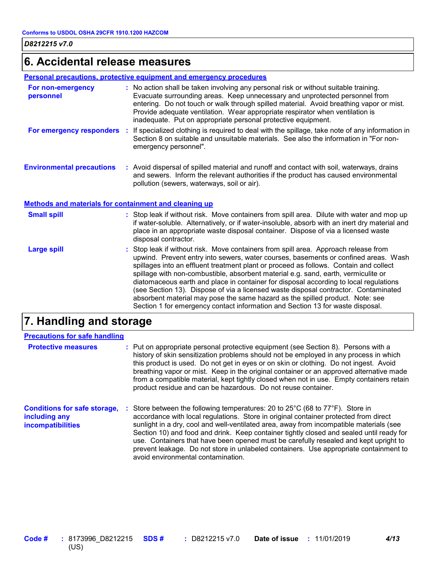### **6. Accidental release measures**

#### **Personal precautions, protective equipment and emergency procedures**

| For non-emergency<br>personnel   |    | : No action shall be taken involving any personal risk or without suitable training.<br>Evacuate surrounding areas. Keep unnecessary and unprotected personnel from<br>entering. Do not touch or walk through spilled material. Avoid breathing vapor or mist.<br>Provide adequate ventilation. Wear appropriate respirator when ventilation is<br>inadequate. Put on appropriate personal protective equipment. |
|----------------------------------|----|------------------------------------------------------------------------------------------------------------------------------------------------------------------------------------------------------------------------------------------------------------------------------------------------------------------------------------------------------------------------------------------------------------------|
| For emergency responders         | ÷. | If specialized clothing is required to deal with the spillage, take note of any information in<br>Section 8 on suitable and unsuitable materials. See also the information in "For non-<br>emergency personnel".                                                                                                                                                                                                 |
| <b>Environmental precautions</b> |    | : Avoid dispersal of spilled material and runoff and contact with soil, waterways, drains<br>and sewers. Inform the relevant authorities if the product has caused environmental<br>pollution (sewers, waterways, soil or air).                                                                                                                                                                                  |

### **Methods and materials for containment and cleaning up**

| <b>Small spill</b> | : Stop leak if without risk. Move containers from spill area. Dilute with water and mop up<br>if water-soluble. Alternatively, or if water-insoluble, absorb with an inert dry material and<br>place in an appropriate waste disposal container. Dispose of via a licensed waste<br>disposal contractor.                                                                                                                                                                                                                                                                                                                                                                                                     |
|--------------------|--------------------------------------------------------------------------------------------------------------------------------------------------------------------------------------------------------------------------------------------------------------------------------------------------------------------------------------------------------------------------------------------------------------------------------------------------------------------------------------------------------------------------------------------------------------------------------------------------------------------------------------------------------------------------------------------------------------|
| <b>Large spill</b> | : Stop leak if without risk. Move containers from spill area. Approach release from<br>upwind. Prevent entry into sewers, water courses, basements or confined areas. Wash<br>spillages into an effluent treatment plant or proceed as follows. Contain and collect<br>spillage with non-combustible, absorbent material e.g. sand, earth, vermiculite or<br>diatomaceous earth and place in container for disposal according to local regulations<br>(see Section 13). Dispose of via a licensed waste disposal contractor. Contaminated<br>absorbent material may pose the same hazard as the spilled product. Note: see<br>Section 1 for emergency contact information and Section 13 for waste disposal. |

### **7. Handling and storage**

| <b>Precautions for safe handling</b>                                      |                                                                                                                                                                                                                                                                                                                                                                                                                                                                                                                                                                                                       |
|---------------------------------------------------------------------------|-------------------------------------------------------------------------------------------------------------------------------------------------------------------------------------------------------------------------------------------------------------------------------------------------------------------------------------------------------------------------------------------------------------------------------------------------------------------------------------------------------------------------------------------------------------------------------------------------------|
| <b>Protective measures</b>                                                | : Put on appropriate personal protective equipment (see Section 8). Persons with a<br>history of skin sensitization problems should not be employed in any process in which<br>this product is used. Do not get in eyes or on skin or clothing. Do not ingest. Avoid<br>breathing vapor or mist. Keep in the original container or an approved alternative made<br>from a compatible material, kept tightly closed when not in use. Empty containers retain<br>product residue and can be hazardous. Do not reuse container.                                                                          |
| <b>Conditions for safe storage,</b><br>including any<br>incompatibilities | Store between the following temperatures: 20 to $25^{\circ}$ C (68 to $77^{\circ}$ F). Store in<br>accordance with local regulations. Store in original container protected from direct<br>sunlight in a dry, cool and well-ventilated area, away from incompatible materials (see<br>Section 10) and food and drink. Keep container tightly closed and sealed until ready for<br>use. Containers that have been opened must be carefully resealed and kept upright to<br>prevent leakage. Do not store in unlabeled containers. Use appropriate containment to<br>avoid environmental contamination. |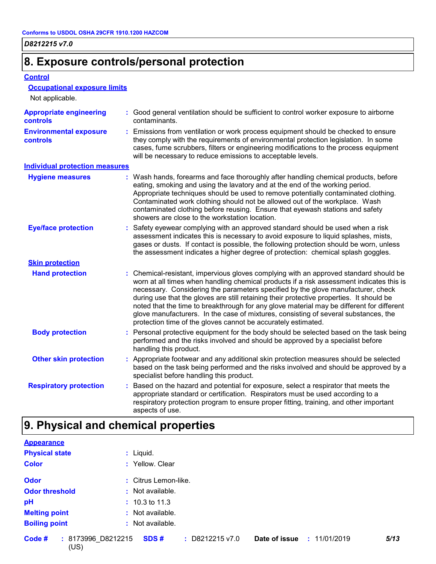### **8. Exposure controls/personal protection**

#### **Control**

#### **Occupational exposure limits**

| Not applicable.                            |    |                                                                                                                                                                                                                                                                                                                                                                                                                                                                                                                                                                                                                        |
|--------------------------------------------|----|------------------------------------------------------------------------------------------------------------------------------------------------------------------------------------------------------------------------------------------------------------------------------------------------------------------------------------------------------------------------------------------------------------------------------------------------------------------------------------------------------------------------------------------------------------------------------------------------------------------------|
| <b>Appropriate engineering</b><br>controls |    | : Good general ventilation should be sufficient to control worker exposure to airborne<br>contaminants.                                                                                                                                                                                                                                                                                                                                                                                                                                                                                                                |
| <b>Environmental exposure</b><br>controls  |    | : Emissions from ventilation or work process equipment should be checked to ensure<br>they comply with the requirements of environmental protection legislation. In some<br>cases, fume scrubbers, filters or engineering modifications to the process equipment<br>will be necessary to reduce emissions to acceptable levels.                                                                                                                                                                                                                                                                                        |
| <b>Individual protection measures</b>      |    |                                                                                                                                                                                                                                                                                                                                                                                                                                                                                                                                                                                                                        |
| <b>Hygiene measures</b>                    |    | : Wash hands, forearms and face thoroughly after handling chemical products, before<br>eating, smoking and using the lavatory and at the end of the working period.<br>Appropriate techniques should be used to remove potentially contaminated clothing.<br>Contaminated work clothing should not be allowed out of the workplace. Wash<br>contaminated clothing before reusing. Ensure that eyewash stations and safety<br>showers are close to the workstation location.                                                                                                                                            |
| <b>Eye/face protection</b>                 | ÷. | Safety eyewear complying with an approved standard should be used when a risk<br>assessment indicates this is necessary to avoid exposure to liquid splashes, mists,<br>gases or dusts. If contact is possible, the following protection should be worn, unless<br>the assessment indicates a higher degree of protection: chemical splash goggles.                                                                                                                                                                                                                                                                    |
| <b>Skin protection</b>                     |    |                                                                                                                                                                                                                                                                                                                                                                                                                                                                                                                                                                                                                        |
| <b>Hand protection</b>                     |    | : Chemical-resistant, impervious gloves complying with an approved standard should be<br>worn at all times when handling chemical products if a risk assessment indicates this is<br>necessary. Considering the parameters specified by the glove manufacturer, check<br>during use that the gloves are still retaining their protective properties. It should be<br>noted that the time to breakthrough for any glove material may be different for different<br>glove manufacturers. In the case of mixtures, consisting of several substances, the<br>protection time of the gloves cannot be accurately estimated. |
| <b>Body protection</b>                     |    | : Personal protective equipment for the body should be selected based on the task being<br>performed and the risks involved and should be approved by a specialist before<br>handling this product.                                                                                                                                                                                                                                                                                                                                                                                                                    |
| <b>Other skin protection</b>               |    | : Appropriate footwear and any additional skin protection measures should be selected<br>based on the task being performed and the risks involved and should be approved by a<br>specialist before handling this product.                                                                                                                                                                                                                                                                                                                                                                                              |
| <b>Respiratory protection</b>              |    | : Based on the hazard and potential for exposure, select a respirator that meets the<br>appropriate standard or certification. Respirators must be used according to a<br>respiratory protection program to ensure proper fitting, training, and other important<br>aspects of use.                                                                                                                                                                                                                                                                                                                                    |

### **9. Physical and chemical properties**

(US)

| <b>Appearance</b>            |                                                                       |
|------------------------------|-----------------------------------------------------------------------|
| <b>Physical state</b>        | $:$ Liquid.                                                           |
| <b>Color</b>                 | : Yellow. Clear                                                       |
| <b>Odor</b>                  | : Citrus Lemon-like.                                                  |
| <b>Odor threshold</b>        | $:$ Not available.                                                    |
| pH                           | $: 10.3 \text{ to } 11.3$                                             |
| <b>Melting point</b>         | : Not available.                                                      |
| <b>Boiling point</b>         | : Not available.                                                      |
| Code #<br>: 8173996 D8212215 | SDS#<br>$\div$ D8212215 v7.0<br>Date of issue<br>5/13<br>: 11/01/2019 |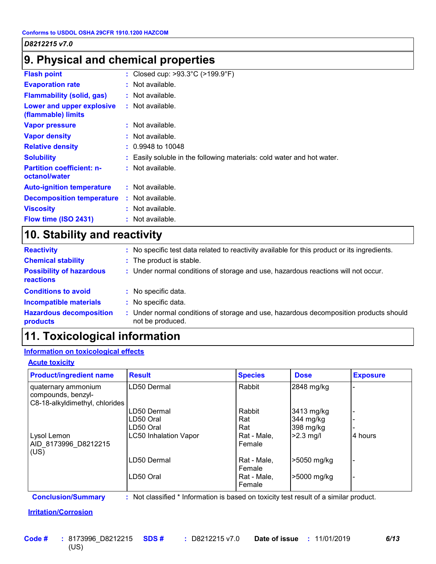### **9. Physical and chemical properties**

| <b>Flash point</b>                                | : Closed cup: $>93.3^{\circ}$ C ( $>199.9^{\circ}$ F)                  |
|---------------------------------------------------|------------------------------------------------------------------------|
| <b>Evaporation rate</b>                           | : Not available.                                                       |
| <b>Flammability (solid, gas)</b>                  | : Not available.                                                       |
| Lower and upper explosive<br>(flammable) limits   | $:$ Not available.                                                     |
| <b>Vapor pressure</b>                             | $:$ Not available.                                                     |
| <b>Vapor density</b>                              | : Not available.                                                       |
| <b>Relative density</b>                           | $: 0.9948$ to 10048                                                    |
| <b>Solubility</b>                                 | : Easily soluble in the following materials: cold water and hot water. |
| <b>Partition coefficient: n-</b><br>octanol/water | $:$ Not available.                                                     |
| <b>Auto-ignition temperature</b>                  | $:$ Not available.                                                     |
| <b>Decomposition temperature</b>                  | $:$ Not available.                                                     |
| <b>Viscosity</b>                                  | : Not available.                                                       |
| Flow time (ISO 2431)                              | : Not available.                                                       |
|                                                   |                                                                        |

### **10. Stability and reactivity**

| <b>Reactivity</b>                            | : No specific test data related to reactivity available for this product or its ingredients.            |
|----------------------------------------------|---------------------------------------------------------------------------------------------------------|
| <b>Chemical stability</b>                    | : The product is stable.                                                                                |
| <b>Possibility of hazardous</b><br>reactions | : Under normal conditions of storage and use, hazardous reactions will not occur.                       |
| <b>Conditions to avoid</b>                   | : No specific data.                                                                                     |
| <b>Incompatible materials</b>                | : No specific data.                                                                                     |
| <b>Hazardous decomposition</b><br>products   | Under normal conditions of storage and use, hazardous decomposition products should<br>not be produced. |

### **11. Toxicological information**

#### **Information on toxicological effects**

#### **Acute toxicity**

| <b>Product/ingredient name</b>                                              | <b>Result</b>                | <b>Species</b>        | <b>Dose</b> | <b>Exposure</b> |
|-----------------------------------------------------------------------------|------------------------------|-----------------------|-------------|-----------------|
| quaternary ammonium<br>compounds, benzyl-<br>C8-18-alkyldimethyl, chlorides | LD50 Dermal                  | Rabbit                | 2848 mg/kg  |                 |
|                                                                             | LD50 Dermal                  | Rabbit                | 3413 mg/kg  |                 |
|                                                                             | LD50 Oral                    | Rat                   | 344 mg/kg   |                 |
|                                                                             | LD50 Oral                    | Rat                   | 398 mg/kg   |                 |
| Lysol Lemon<br>AID 8173996 D8212215<br>(US)                                 | <b>LC50 Inhalation Vapor</b> | Rat - Male,<br>Female | $>2.3$ mg/l | 4 hours         |
|                                                                             | LD50 Dermal                  | Rat - Male,<br>Female | >5050 mg/kg |                 |
|                                                                             | LD50 Oral                    | Rat - Male,<br>Female | >5000 mg/kg |                 |

**Conclusion/Summary :** Not classified \* Information is based on toxicity test result of a similar product.

### **Irritation/Corrosion**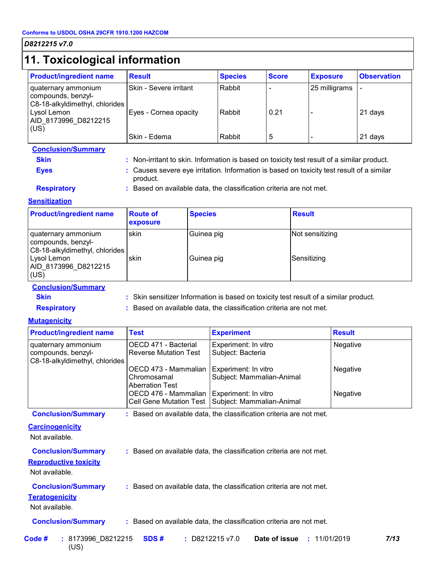### **11. Toxicological information**

| .  . <i></i>                                                                |                               |                |              |                 |                    |
|-----------------------------------------------------------------------------|-------------------------------|----------------|--------------|-----------------|--------------------|
| <b>Product/ingredient name</b>                                              | <b>Result</b>                 | <b>Species</b> | <b>Score</b> | <b>Exposure</b> | <b>Observation</b> |
| quaternary ammonium<br>compounds, benzyl-<br>C8-18-alkyldimethyl, chlorides | <b>Skin - Severe irritant</b> | Rabbit         |              | 25 milligrams   |                    |
| Lysol Lemon<br>AID_8173996 D8212215<br>(US)                                 | Eyes - Cornea opacity         | Rabbit         | 0.21         |                 | 21 days            |
|                                                                             | <b>Skin - Edema</b>           | Rabbit         | ხ            |                 | 21 days            |

### **Conclusion/Summary**

| Skin | Non-irritant to skin. Information is based on toxicity test result of a similar product. |  |  |  |  |  |  |
|------|------------------------------------------------------------------------------------------|--|--|--|--|--|--|
|      |                                                                                          |  |  |  |  |  |  |

**Eyes Eyes :** Causes severe eye irritation. Information is based on toxicity test result of a similar product.

**Respiratory <b>:** Based on available data, the classification criteria are not met.

#### **Sensitization**

| <b>Product/ingredient name</b>                                              | <b>Route of</b><br>exposure | <b>Species</b> | <b>Result</b>   |
|-----------------------------------------------------------------------------|-----------------------------|----------------|-----------------|
| quaternary ammonium<br>compounds, benzyl-<br>C8-18-alkyldimethyl, chlorides | skin                        | Guinea pig     | Not sensitizing |
| Lysol Lemon<br>AID_8173996_D8212215<br>(US)                                 | skin                        | Guinea pig     | Sensitizing     |

#### **Conclusion/Summary**

**Skin Skin sensitizer Information is based on toxicity test result of a similar product.** 

**Respiratory <b>:** Based on available data, the classification criteria are not met.

#### **Mutagenicity**

| <b>Product/ingredient name</b>                                              | <b>Test</b>                                                   | <b>Experiment</b>                                 | <b>Result</b> |
|-----------------------------------------------------------------------------|---------------------------------------------------------------|---------------------------------------------------|---------------|
| quaternary ammonium<br>compounds, benzyl-<br>C8-18-alkyldimethyl, chlorides | OECD 471 - Bacterial<br><b>Reverse Mutation Test</b>          | Experiment: In vitro<br>Subject: Bacteria         | Negative      |
|                                                                             | OECD 473 - Mammalian<br>Chromosamal<br><b>Aberration Test</b> | Experiment: In vitro<br>Subject: Mammalian-Animal | Negative      |
|                                                                             | OECD 476 - Mammalian  <br>Cell Gene Mutation Test             | Experiment: In vitro<br>Subject: Mammalian-Animal | Negative      |

**Conclusion/Summary :** Based on available data, the classification criteria are not met.

#### **Carcinogenicity**

Not available.

**Conclusion/Summary :** Based on available data, the classification criteria are not met.

#### **Reproductive toxicity**

Not available.

#### **Conclusion/Summary :** Based on available data, the classification criteria are not met.

#### **Teratogenicity**

Not available.

#### **Conclusion/Summary :** Based on available data, the classification criteria are not met.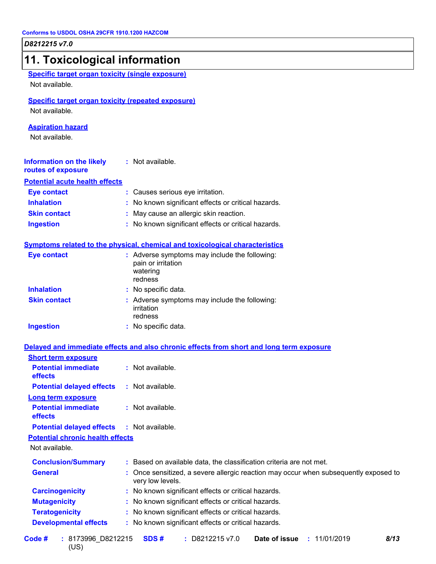| 11. Toxicological information                                               |                                                                                                        |
|-----------------------------------------------------------------------------|--------------------------------------------------------------------------------------------------------|
| <b>Specific target organ toxicity (single exposure)</b><br>Not available.   |                                                                                                        |
| <b>Specific target organ toxicity (repeated exposure)</b><br>Not available. |                                                                                                        |
| <b>Aspiration hazard</b><br>Not available.                                  |                                                                                                        |
| <b>Information on the likely</b><br>routes of exposure                      | : Not available.                                                                                       |
| <b>Potential acute health effects</b>                                       |                                                                                                        |
| <b>Eye contact</b>                                                          | : Causes serious eye irritation.                                                                       |
| <b>Inhalation</b>                                                           | No known significant effects or critical hazards.                                                      |
| <b>Skin contact</b>                                                         | May cause an allergic skin reaction.                                                                   |
| <b>Ingestion</b>                                                            | : No known significant effects or critical hazards.                                                    |
|                                                                             | Symptoms related to the physical, chemical and toxicological characteristics                           |
| <b>Eye contact</b>                                                          | : Adverse symptoms may include the following:<br>pain or irritation<br>watering<br>redness             |
| <b>Inhalation</b>                                                           | : No specific data.                                                                                    |
| <b>Skin contact</b>                                                         | : Adverse symptoms may include the following:<br>irritation<br>redness                                 |
| <b>Ingestion</b>                                                            | : No specific data.                                                                                    |
|                                                                             | Delayed and immediate effects and also chronic effects from short and long term exposure               |
| <b>Short term exposure</b>                                                  |                                                                                                        |
| <b>Potential immediate</b><br>effects                                       | : Not available.                                                                                       |
| <b>Potential delayed effects</b>                                            | : Not available.                                                                                       |
| <b>Long term exposure</b><br><b>Potential immediate</b><br>effects          | : Not available.                                                                                       |
| <b>Potential delayed effects</b>                                            | : Not available.                                                                                       |
| <b>Potential chronic health effects</b><br>Not available.                   |                                                                                                        |
| <b>Conclusion/Summary</b>                                                   | : Based on available data, the classification criteria are not met.                                    |
| <b>General</b>                                                              | Once sensitized, a severe allergic reaction may occur when subsequently exposed to<br>very low levels. |
| <b>Carcinogenicity</b>                                                      | No known significant effects or critical hazards.                                                      |
| <b>Mutagenicity</b>                                                         | No known significant effects or critical hazards.                                                      |
| <b>Teratogenicity</b>                                                       | No known significant effects or critical hazards.                                                      |
| <b>Developmental effects</b>                                                | : No known significant effects or critical hazards.                                                    |
| Code #<br>: 8173996_D8212215                                                | Date of issue<br>SDS#<br>: D8212215 v7.0<br>8/13<br>: 11/01/2019                                       |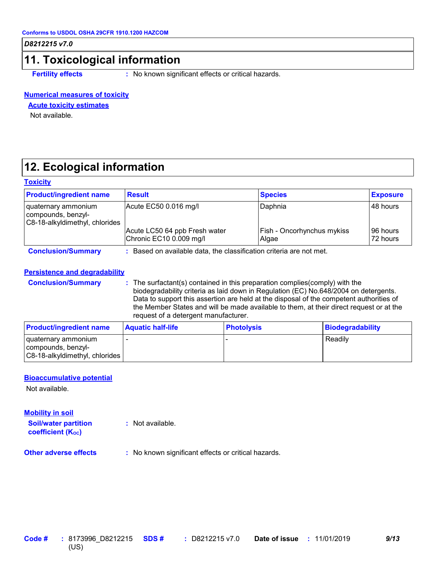### **11. Toxicological information**

**Fertility effects** : No known significant effects or critical hazards.

#### **Numerical measures of toxicity**

#### **Acute toxicity estimates**

Not available.

### **12. Ecological information**

#### **Toxicity**

| <b>Product/ingredient name</b>                                              | <b>Result</b>                                                       | <b>Species</b>                      | <b>Exposure</b>      |  |  |  |
|-----------------------------------------------------------------------------|---------------------------------------------------------------------|-------------------------------------|----------------------|--|--|--|
| quaternary ammonium<br>compounds, benzyl-<br>C8-18-alkyldimethyl, chlorides | Acute EC50 0.016 mg/l                                               | Daphnia                             | 48 hours             |  |  |  |
|                                                                             | Acute LC50 64 ppb Fresh water<br>Chronic EC10 0.009 mg/l            | Fish - Oncorhynchus mykiss<br>Algae | 96 hours<br>72 hours |  |  |  |
| <b>Conclusion/Summary</b>                                                   | : Based on available data, the classification criteria are not met. |                                     |                      |  |  |  |

#### **Persistence and degradability**

**Conclusion/Summary :** The surfactant(s) contained in this preparation complies(comply) with the biodegradability criteria as laid down in Regulation (EC) No.648/2004 on detergents. Data to support this assertion are held at the disposal of the competent authorities of the Member States and will be made available to them, at their direct request or at the request of a detergent manufacturer.

| <b>Product/ingredient name</b>                                              | <b>Aquatic half-life</b> | <b>Photolysis</b> | Biodegradability |
|-----------------------------------------------------------------------------|--------------------------|-------------------|------------------|
| quaternary ammonium<br>compounds, benzyl-<br>C8-18-alkyldimethyl, chlorides |                          |                   | Readily          |

#### **Bioaccumulative potential**

Not available.

#### **Mobility in soil**

**Soil/water partition coefficient (K**<sup>oc</sup>)

**:** Not available.

**Other adverse effects :** No known significant effects or critical hazards.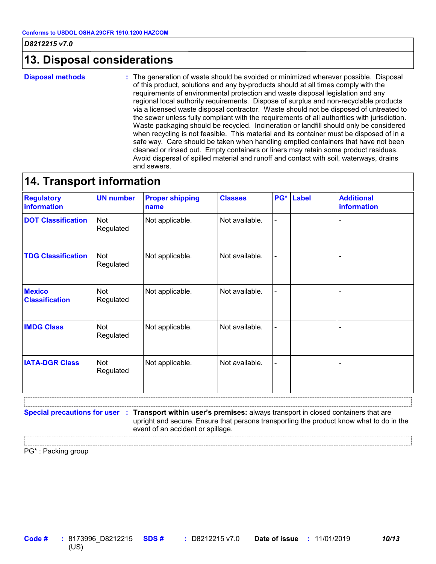### **13. Disposal considerations**

**Disposal methods :**

The generation of waste should be avoided or minimized wherever possible. Disposal of this product, solutions and any by-products should at all times comply with the requirements of environmental protection and waste disposal legislation and any regional local authority requirements. Dispose of surplus and non-recyclable products via a licensed waste disposal contractor. Waste should not be disposed of untreated to the sewer unless fully compliant with the requirements of all authorities with jurisdiction. Waste packaging should be recycled. Incineration or landfill should only be considered when recycling is not feasible. This material and its container must be disposed of in a safe way. Care should be taken when handling emptied containers that have not been cleaned or rinsed out. Empty containers or liners may retain some product residues. Avoid dispersal of spilled material and runoff and contact with soil, waterways, drains and sewers.

### **14. Transport information**

| <b>Regulatory</b><br>information       | <b>UN number</b> | <b>Proper shipping</b><br>name | <b>Classes</b> | PG*                      | <b>Label</b> | <b>Additional</b><br>information |
|----------------------------------------|------------------|--------------------------------|----------------|--------------------------|--------------|----------------------------------|
| <b>DOT Classification</b>              | Not<br>Regulated | Not applicable.                | Not available. | $\overline{\phantom{a}}$ |              |                                  |
| <b>TDG Classification</b>              | Not<br>Regulated | Not applicable.                | Not available. | $\blacksquare$           |              |                                  |
| <b>Mexico</b><br><b>Classification</b> | Not<br>Regulated | Not applicable.                | Not available. | $\overline{\phantom{a}}$ |              |                                  |
| <b>IMDG Class</b>                      | Not<br>Regulated | Not applicable.                | Not available. | $\overline{\phantom{a}}$ |              |                                  |
| <b>IATA-DGR Class</b>                  | Not<br>Regulated | Not applicable.                | Not available. | $\overline{\phantom{a}}$ |              |                                  |

**Special precautions for user Transport within user's premises:** always transport in closed containers that are **:** upright and secure. Ensure that persons transporting the product know what to do in the event of an accident or spillage.

PG\* : Packing group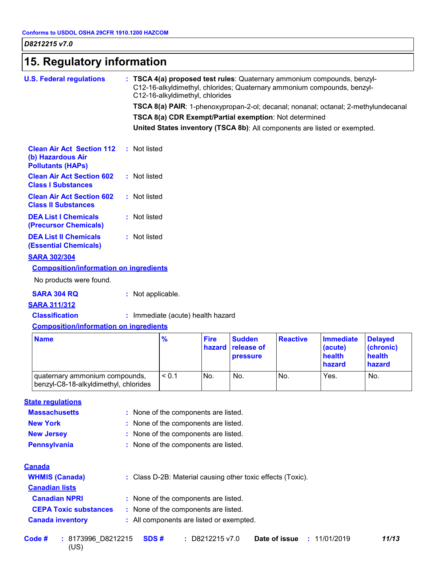| 15. Regulatory information                                                        |                                                                                                                                                                                       |  |  |  |  |
|-----------------------------------------------------------------------------------|---------------------------------------------------------------------------------------------------------------------------------------------------------------------------------------|--|--|--|--|
| <b>U.S. Federal regulations</b>                                                   | : TSCA 4(a) proposed test rules: Quaternary ammonium compounds, benzyl-<br>C12-16-alkyldimethyl, chlorides; Quaternary ammonium compounds, benzyl-<br>C12-16-alkyldimethyl, chlorides |  |  |  |  |
|                                                                                   | TSCA 8(a) PAIR: 1-phenoxypropan-2-ol; decanal; nonanal; octanal; 2-methylundecanal                                                                                                    |  |  |  |  |
|                                                                                   | TSCA 8(a) CDR Exempt/Partial exemption: Not determined                                                                                                                                |  |  |  |  |
|                                                                                   | United States inventory (TSCA 8b): All components are listed or exempted.                                                                                                             |  |  |  |  |
| <b>Clean Air Act Section 112</b><br>(b) Hazardous Air<br><b>Pollutants (HAPs)</b> | : Not listed                                                                                                                                                                          |  |  |  |  |
| <b>Clean Air Act Section 602</b><br><b>Class I Substances</b>                     | : Not listed                                                                                                                                                                          |  |  |  |  |
| <b>Clean Air Act Section 602</b><br><b>Class II Substances</b>                    | : Not listed                                                                                                                                                                          |  |  |  |  |
| <b>DEA List I Chemicals</b><br>(Precursor Chemicals)                              | : Not listed                                                                                                                                                                          |  |  |  |  |
| <b>DEA List II Chemicals</b><br><b>(Essential Chemicals)</b>                      | : Not listed                                                                                                                                                                          |  |  |  |  |
| <b>SARA 302/304</b>                                                               |                                                                                                                                                                                       |  |  |  |  |
| <b>Composition/information on ingredients</b>                                     |                                                                                                                                                                                       |  |  |  |  |
| No products were found.                                                           |                                                                                                                                                                                       |  |  |  |  |
| <b>SARA 304 RQ</b>                                                                | : Not applicable.                                                                                                                                                                     |  |  |  |  |
| <b>SARA 311/312</b>                                                               |                                                                                                                                                                                       |  |  |  |  |
| <b>Classification</b>                                                             | : Immediate (acute) health hazard                                                                                                                                                     |  |  |  |  |
| <b>Composition/information on ingredients</b>                                     |                                                                                                                                                                                       |  |  |  |  |

| <b>Name</b>                                                              | $\frac{9}{6}$ | <b>Fire</b> | <b>Sudden</b><br><b>hazard release of</b><br><b>pressure</b> | <b>Reactive</b> | <b>Immediate</b><br>(acute)<br>health<br>hazard | <b>Delaved</b><br>(chronic)<br>health<br>hazard |
|--------------------------------------------------------------------------|---------------|-------------|--------------------------------------------------------------|-----------------|-------------------------------------------------|-------------------------------------------------|
| Jouaternary ammonium compounds,<br>benzyl-C8-18-alkyldimethyl, chlorides | < 0.1         | No.         | No.                                                          | No.             | Yes.                                            | No.                                             |

### **State regulations**

| : None of the components are listed.                        |
|-------------------------------------------------------------|
| : None of the components are listed.                        |
| : None of the components are listed.                        |
| : None of the components are listed.                        |
|                                                             |
| : Class D-2B: Material causing other toxic effects (Toxic). |
|                                                             |
| : None of the components are listed.                        |
| : None of the components are listed.                        |
| : All components are listed or exempted.                    |
|                                                             |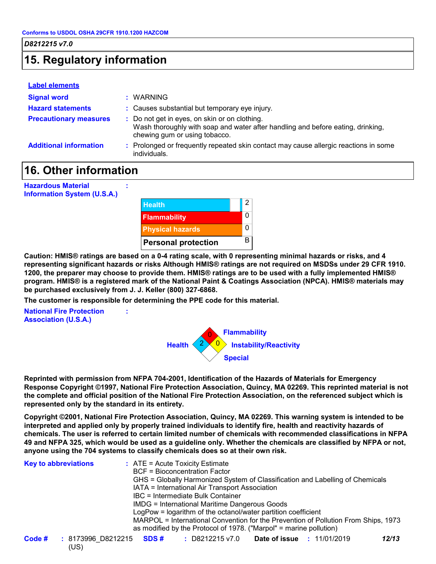### **15. Regulatory information**

#### **Label elements**

| <b>Signal word</b>            | : WARNING                                                                                                                                                         |
|-------------------------------|-------------------------------------------------------------------------------------------------------------------------------------------------------------------|
| <b>Hazard statements</b>      | : Causes substantial but temporary eye injury.                                                                                                                    |
| <b>Precautionary measures</b> | : Do not get in eyes, on skin or on clothing.<br>Wash thoroughly with soap and water after handling and before eating, drinking,<br>chewing gum or using tobacco. |
| <b>Additional information</b> | : Prolonged or frequently repeated skin contact may cause allergic reactions in some<br>individuals.                                                              |

### **16. Other information**

**:**

**:**

**Hazardous Material Information System (U.S.A.)**



**Caution: HMIS® ratings are based on a 0-4 rating scale, with 0 representing minimal hazards or risks, and 4 representing significant hazards or risks Although HMIS® ratings are not required on MSDSs under 29 CFR 1910. 1200, the preparer may choose to provide them. HMIS® ratings are to be used with a fully implemented HMIS® program. HMIS® is a registered mark of the National Paint & Coatings Association (NPCA). HMIS® materials may be purchased exclusively from J. J. Keller (800) 327-6868.**

**The customer is responsible for determining the PPE code for this material.**

**National Fire Protection Association (U.S.A.)**



**Reprinted with permission from NFPA 704-2001, Identification of the Hazards of Materials for Emergency Response Copyright ©1997, National Fire Protection Association, Quincy, MA 02269. This reprinted material is not the complete and official position of the National Fire Protection Association, on the referenced subject which is represented only by the standard in its entirety.**

**Copyright ©2001, National Fire Protection Association, Quincy, MA 02269. This warning system is intended to be interpreted and applied only by properly trained individuals to identify fire, health and reactivity hazards of chemicals. The user is referred to certain limited number of chemicals with recommended classifications in NFPA 49 and NFPA 325, which would be used as a guideline only. Whether the chemicals are classified by NFPA or not, anyone using the 704 systems to classify chemicals does so at their own risk.**

| <b>Key to abbreviations</b> |                                        | : ATE = Acute Toxicity Estimate<br><b>BCF</b> = Bioconcentration Factor<br>IATA = International Air Transport Association<br>IBC = Intermediate Bulk Container<br>IMDG = International Maritime Dangerous Goods |                      | LogPow = logarithm of the octanol/water partition coefficient<br>as modified by the Protocol of 1978. ("Marpol" = marine pollution) | GHS = Globally Harmonized System of Classification and Labelling of Chemicals<br>MARPOL = International Convention for the Prevention of Pollution From Ships, 1973 |       |
|-----------------------------|----------------------------------------|-----------------------------------------------------------------------------------------------------------------------------------------------------------------------------------------------------------------|----------------------|-------------------------------------------------------------------------------------------------------------------------------------|---------------------------------------------------------------------------------------------------------------------------------------------------------------------|-------|
| Code #                      | : 8173996_D8212215 <b>SDS#</b><br>(US) |                                                                                                                                                                                                                 | $\div$ D8212215 v7.0 |                                                                                                                                     | <b>Date of issue : 11/01/2019</b>                                                                                                                                   | 12/13 |